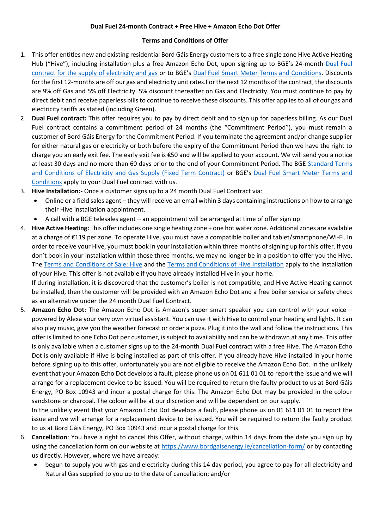## **Dual Fuel 24-month Contract + Free Hive + Amazon Echo Dot Offer**

## **Terms and Conditions of Offer**

- 1. This offer entitles new and existing residential Bord Gáis Energy customers to a free single zone Hive Active Heating Hub ("Hive"), including installation plus a free Amazon Echo Dot, upon signing up to BGE's 24-month Dual Fuel [contract for the supply of electricity and gas](https://assets-us-01.kc-usercontent.com/7dd6b71d-d672-0004-6a4d-7043e1d0db33/c3a69434-febb-4e65-86ef-b4b33da7afc2/BGEDFTAC0221%20V3_Screen_HR_GE_TsCs.pdf) or to BGE's [Dual Fuel Smart Meter Terms and Conditions.](https://assets-us-01.kc-usercontent.com/7dd6b71d-d672-0004-6a4d-7043e1d0db33/5517ea25-047c-40f9-b007-7f5b9a434b87/BGESDFTAC0221%20V3%20LR%20(002).pdf) Discounts for the first 12-months are off our gas and electricity unit rates.For the next 12 months of the contract, the discounts are 9% off Gas and 5% off Electricity. 5% discount thereafter on Gas and Electricity. You must continue to pay by direct debit and receive paperless bills to continue to receive these discounts. This offer applies to all of our gas and electricity tariffs as stated (including Green).
- 2. **Dual Fuel contract:** This offer requires you to pay by direct debit and to sign up for paperless billing. As our Dual Fuel contract contains a commitment period of 24 months (the "Commitment Period"), you must remain a customer of Bord Gáis Energy for the Commitment Period. If you terminate the agreement and/or change supplier for either natural gas or electricity or both before the expiry of the Commitment Period then we have the right to charge you an early exit fee. The early exit fee is €50 and will be applied to your account. We will send you a notice at least 30 days and no more than 60 days prior to the end of your Commitment Period. The BGE [Standard Terms](https://www.bordgaisenergy.ie/resources/ts-cs-dualfuel-fixed-res/)  and Conditions [of Electricity and Gas Supply \(Fixed Term Contract\)](https://www.bordgaisenergy.ie/resources/ts-cs-dualfuel-fixed-res/) or BGE's [Dual Fuel Smart Meter Terms and](https://assets-us-01.kc-usercontent.com/7dd6b71d-d672-0004-6a4d-7043e1d0db33/5517ea25-047c-40f9-b007-7f5b9a434b87/BGESDFTAC0221%20V3%20LR%20(002).pdf)  [Conditions](https://assets-us-01.kc-usercontent.com/7dd6b71d-d672-0004-6a4d-7043e1d0db33/5517ea25-047c-40f9-b007-7f5b9a434b87/BGESDFTAC0221%20V3%20LR%20(002).pdf) apply to your Dual Fuel contract with us.
- 3. **Hive Installation:-** Once a customer signs up to a 24 month Dual Fuel Contract via:
	- Online or a field sales agent they will receive an email within 3 days containing instructions on how to arrange their Hive installation appointment.
	- A call with a BGE telesales agent an appointment will be arranged at time of offer sign up
- 4. **Hive Active Heating:** This offer includes one single heating zone + one hot water zone. Additional zones are available at a charge of €119 per zone. To operate Hive, you must have a compatible boiler and tablet/smartphone/Wi-Fi. In order to receive your Hive, you must book in your installation within three months of signing up for this offer. If you don't book in your installation within those three months, we may no longer be in a position to offer you the Hive. The [Terms and Conditions of Sale: Hive](https://assets-us-01.kc-usercontent.com/7dd6b71d-d672-0004-6a4d-7043e1d0db33/61adc196-25bf-4a4f-843e-ea82dbfac3ca/hive-sale-ts-cs.pdf) and the [Terms and Conditions of Hive Installation](https://assets-us-01.kc-usercontent.com/7dd6b71d-d672-0004-6a4d-7043e1d0db33/b05fda8f-3012-452a-a286-65e933313535/HiveInstallationTsCs-Sept2019.pdf) apply to the installation of your Hive. This offer is not available if you have already installed Hive in your home. If during installation, it is discovered that the customer's boiler is not compatible, and Hive Active Heating cannot be installed, then the customer will be provided with an Amazon Echo Dot and a free boiler service or safety check

as an alternative under the 24 month Dual Fuel Contract.

5. **Amazon Echo Dot:** The Amazon Echo Dot is Amazon's super smart speaker you can control with your voice – powered by Alexa your very own virtual assistant. You can use it with Hive to control your heating and lights. It can also play music, give you the weather forecast or order a pizza. Plug it into the wall and follow the instructions. This offer is limited to one Echo Dot per customer, is subject to availability and can be withdrawn at any time. This offer is only available when a customer signs up to the 24-month Dual Fuel contract with a free Hive. The Amazon Echo Dot is only available if Hive is being installed as part of this offer. If you already have Hive installed in your home before signing up to this offer, unfortunately you are not eligible to receive the Amazon Echo Dot. In the unlikely event that your Amazon Echo Dot develops a fault, please phone us on 01 611 01 01 to report the issue and we will arrange for a replacement device to be issued. You will be required to return the faulty product to us at Bord Gáis Energy, PO Box 10943 and incur a postal charge for this. The Amazon Echo Dot may be provided in the colour sandstone or charcoal. The colour will be at our discretion and will be dependent on our supply.

In the unlikely event that your Amazon Echo Dot develops a fault, please phone us on 01 611 01 01 to report the issue and we will arrange for a replacement device to be issued. You will be required to return the faulty product to us at Bord Gáis Energy, PO Box 10943 and incur a postal charge for this.

- 6. **Cancellation**: You have a right to cancel this Offer, without charge, within 14 days from the date you sign up by using the cancellation form on our website at<https://www.bordgaisenergy.ie/cancellation-form/> or by contacting us directly. However, where we have already:
	- begun to supply you with gas and electricity during this 14 day period, you agree to pay for all electricity and Natural Gas supplied to you up to the date of cancellation; and/or